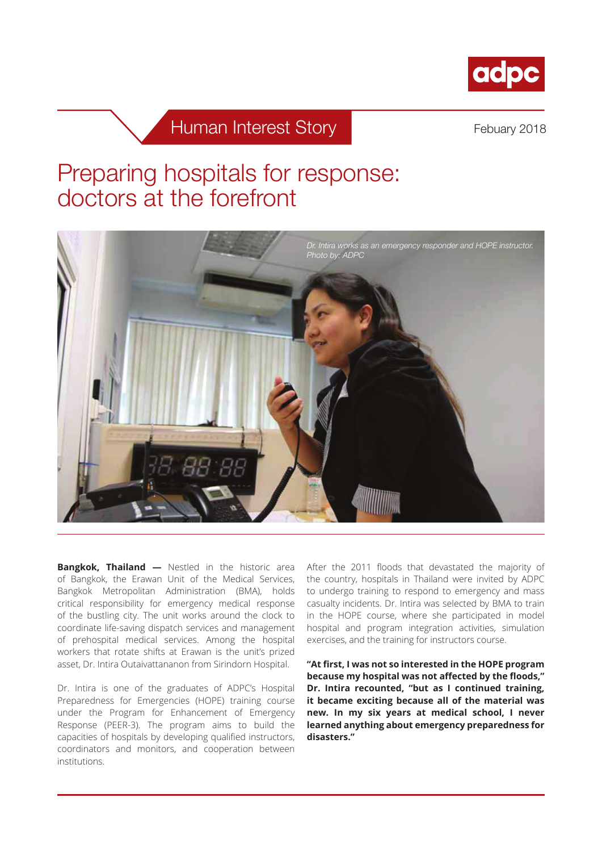

# Human Interest Story **Febuary 2018**

# Preparing hospitals for response: doctors at the forefront



**Bangkok, Thailand —** Nestled in the historic area of Bangkok, the Erawan Unit of the Medical Services, Bangkok Metropolitan Administration (BMA), holds critical responsibility for emergency medical response of the bustling city. The unit works around the clock to coordinate life-saving dispatch services and management of prehospital medical services. Among the hospital workers that rotate shifts at Erawan is the unit's prized asset, Dr. Intira Outaivattananon from Sirindorn Hospital.

Dr. Intira is one of the graduates of ADPC's Hospital Preparedness for Emergencies (HOPE) training course under the Program for Enhancement of Emergency Response (PEER-3). The program aims to build the capacities of hospitals by developing qualified instructors, coordinators and monitors, and cooperation between institutions.

After the 2011 floods that devastated the majority of the country, hospitals in Thailand were invited by ADPC to undergo training to respond to emergency and mass casualty incidents. Dr. Intira was selected by BMA to train in the HOPE course, where she participated in model hospital and program integration activities, simulation exercises, and the training for instructors course.

**"At first, I was not so interested in the HOPE program because my hospital was not affected by the floods," Dr. Intira recounted, "but as I continued training, it became exciting because all of the material was new. In my six years at medical school, I never learned anything about emergency preparedness for disasters."**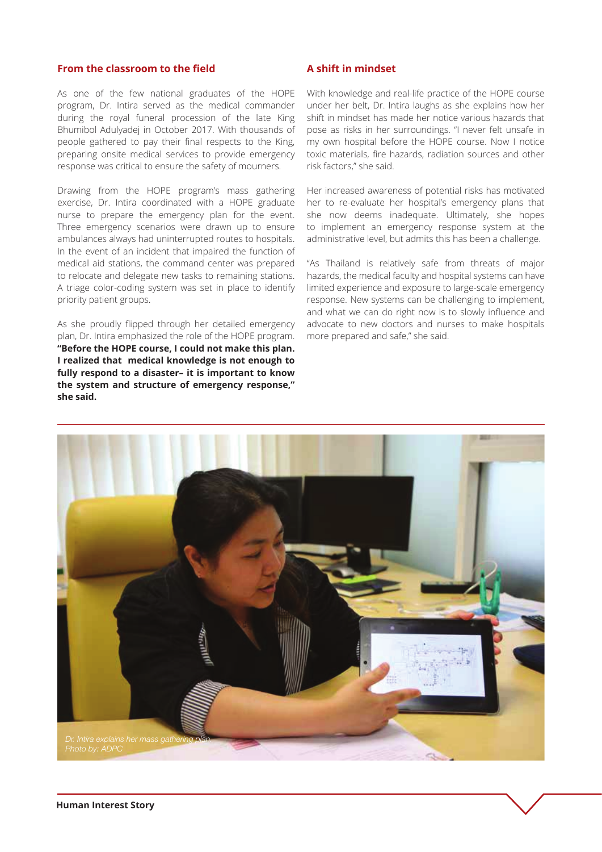#### **From the classroom to the field**

As one of the few national graduates of the HOPE program, Dr. Intira served as the medical commander during the royal funeral procession of the late King Bhumibol Adulyadej in October 2017. With thousands of people gathered to pay their final respects to the King, preparing onsite medical services to provide emergency response was critical to ensure the safety of mourners.

Drawing from the HOPE program's mass gathering exercise, Dr. Intira coordinated with a HOPE graduate nurse to prepare the emergency plan for the event. Three emergency scenarios were drawn up to ensure ambulances always had uninterrupted routes to hospitals. In the event of an incident that impaired the function of medical aid stations, the command center was prepared to relocate and delegate new tasks to remaining stations. A triage color-coding system was set in place to identify priority patient groups.

As she proudly flipped through her detailed emergency plan, Dr. Intira emphasized the role of the HOPE program. **"Before the HOPE course, I could not make this plan. I realized that medical knowledge is not enough to fully respond to a disaster– it is important to know the system and structure of emergency response," she said.**

### **A shift in mindset**

With knowledge and real-life practice of the HOPE course under her belt, Dr. Intira laughs as she explains how her shift in mindset has made her notice various hazards that pose as risks in her surroundings. "I never felt unsafe in my own hospital before the HOPE course. Now I notice toxic materials, fire hazards, radiation sources and other risk factors," she said.

Her increased awareness of potential risks has motivated her to re-evaluate her hospital's emergency plans that she now deems inadequate. Ultimately, she hopes to implement an emergency response system at the administrative level, but admits this has been a challenge.

"As Thailand is relatively safe from threats of major hazards, the medical faculty and hospital systems can have limited experience and exposure to large-scale emergency response. New systems can be challenging to implement, and what we can do right now is to slowly influence and advocate to new doctors and nurses to make hospitals more prepared and safe," she said.

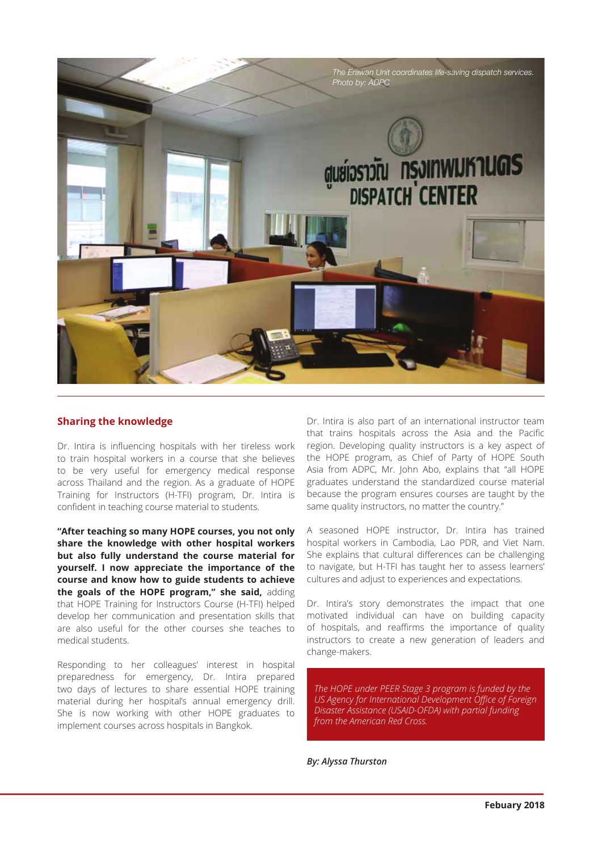

## **Sharing the knowledge**

Dr. Intira is influencing hospitals with her tireless work to train hospital workers in a course that she believes to be very useful for emergency medical response across Thailand and the region. As a graduate of HOPE Training for Instructors (H-TFI) program, Dr. Intira is confident in teaching course material to students.

**"After teaching so many HOPE courses, you not only share the knowledge with other hospital workers but also fully understand the course material for yourself. I now appreciate the importance of the course and know how to guide students to achieve the goals of the HOPE program," she said,** adding that HOPE Training for Instructors Course (H-TFI) helped develop her communication and presentation skills that are also useful for the other courses she teaches to medical students.

Responding to her colleagues' interest in hospital preparedness for emergency, Dr. Intira prepared two days of lectures to share essential HOPE training material during her hospital's annual emergency drill. She is now working with other HOPE graduates to implement courses across hospitals in Bangkok.

Dr. Intira is also part of an international instructor team that trains hospitals across the Asia and the Pacific region. Developing quality instructors is a key aspect of the HOPE program, as Chief of Party of HOPE South Asia from ADPC, Mr. John Abo, explains that "all HOPE graduates understand the standardized course material because the program ensures courses are taught by the same quality instructors, no matter the country."

A seasoned HOPE instructor, Dr. Intira has trained hospital workers in Cambodia, Lao PDR, and Viet Nam. She explains that cultural differences can be challenging to navigate, but H-TFI has taught her to assess learners' cultures and adjust to experiences and expectations.

Dr. Intira's story demonstrates the impact that one motivated individual can have on building capacity of hospitals, and reaffirms the importance of quality instructors to create a new generation of leaders and change-makers.

*The HOPE under PEER Stage 3 program is funded by the US Agency for International Development Office of Foreign Disaster Assistance (USAID-OFDA) with partial funding from the American Red Cross.* 

#### *By: Alyssa Thurston*